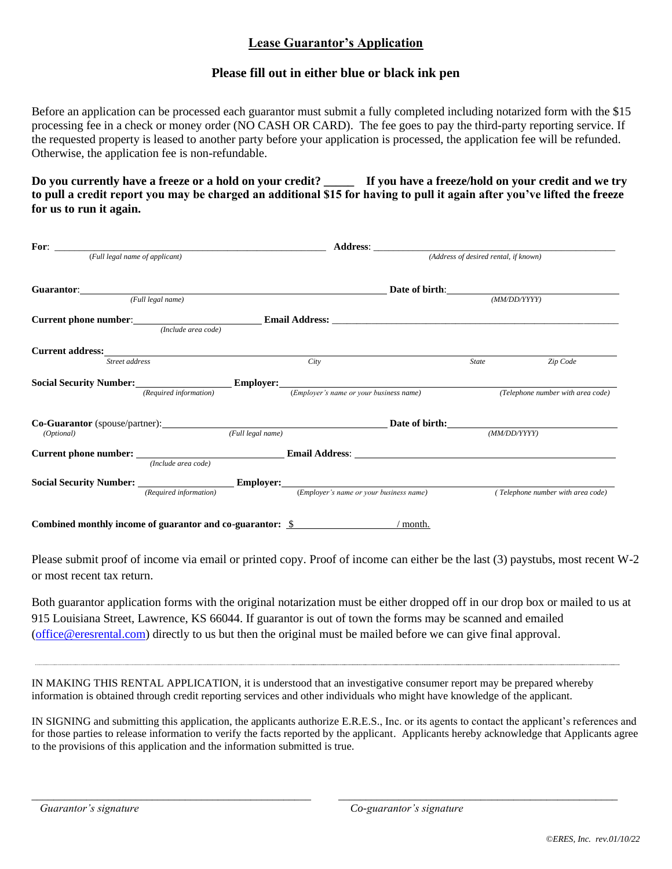## **Lease Guarantor's Application**

## **Please fill out in either blue or black ink pen**

Before an application can be processed each guarantor must submit a fully completed including notarized form with the \$15 processing fee in a check or money order (NO CASH OR CARD). The fee goes to pay the third-party reporting service. If the requested property is leased to another party before your application is processed, the application fee will be refunded. Otherwise, the application fee is non-refundable.

**Do you currently have a freeze or a hold on your credit? \_\_\_\_\_ If you have a freeze/hold on your credit and we try to pull a credit report you may be charged an additional \$15 for having to pull it again after you've lifted the freeze for us to run it again.**

| <b>For:</b> <i>(Full legal name of applicant)</i>                                                                                                                                                                                                                                                      |                   |                                         | (Address of desired rental, if known) |
|--------------------------------------------------------------------------------------------------------------------------------------------------------------------------------------------------------------------------------------------------------------------------------------------------------|-------------------|-----------------------------------------|---------------------------------------|
|                                                                                                                                                                                                                                                                                                        |                   |                                         | Date of birth: $(MM/DD/YYYY)$         |
| <b>Guarantor:</b> (Full legal name)                                                                                                                                                                                                                                                                    |                   |                                         |                                       |
| <b>Current phone number:</b> <i>(Include area code)</i> <b>Email Address:</b> <u><i>Containers</i> and <i>Containers</i> and <i>Containers</i> and <i>Containers</i> and <i>Containers</i> and <i>Containers</i> and <i>Containers</i> and <i>Containers</i> and <i>Containers</i> and <i>Cont</i></u> |                   |                                         |                                       |
| Current address: No. 1996. The Contract of the Contract of the Contract of the Contract of the Contract of the Contract of the Contract of the Contract of the Contract of the Contract of the Contract of the Contract of the<br>Street address                                                       |                   | City                                    | Zip Code<br><b>State</b>              |
|                                                                                                                                                                                                                                                                                                        |                   |                                         |                                       |
| Social Security Number: Employer:<br>(Required information)                                                                                                                                                                                                                                            |                   | (Employer's name or your business name) | (Telephone number with area code)     |
| <b>Co-Guarantor</b> (spouse/partner): <b>Example 2</b> and 2 and 2 and 2 and 2 and 2 and 2 and 2 and 2 and 2 and 2 and 2 and 2 and 2 and 2 and 2 and 2 and 2 and 2 and 2 and 2 and 2 and 2 and 2 and 2 and 2 and 2 and 2 and 2 and 2 and                                                               |                   |                                         | Date of birth: Date of birth:         |
| (Optional)                                                                                                                                                                                                                                                                                             | (Full legal name) |                                         | (MM/DD/YYYY)                          |
| (Include area code)                                                                                                                                                                                                                                                                                    |                   |                                         |                                       |
| (Required information)                                                                                                                                                                                                                                                                                 |                   | (Employer's name or your business name) | (Telephone number with area code)     |
|                                                                                                                                                                                                                                                                                                        |                   |                                         |                                       |

Combined monthly income of guarantor and co-guarantor: \$

Please submit proof of income via email or printed copy. Proof of income can either be the last (3) paystubs, most recent W-2 or most recent tax return.

Both guarantor application forms with the original notarization must be either dropped off in our drop box or mailed to us at 915 Louisiana Street, Lawrence, KS 66044. If guarantor is out of town the forms may be scanned and emailed [\(office@eresrental.com\)](mailto:office@eresrental.com) directly to us but then the original must be mailed before we can give final approval.

IN MAKING THIS RENTAL APPLICATION, it is understood that an investigative consumer report may be prepared whereby information is obtained through credit reporting services and other individuals who might have knowledge of the applicant.

IN SIGNING and submitting this application, the applicants authorize E.R.E.S., Inc. or its agents to contact the applicant's references and for those parties to release information to verify the facts reported by the applicant. Applicants hereby acknowledge that Applicants agree to the provisions of this application and the information submitted is true.

\_\_\_\_\_\_\_\_\_\_\_\_\_\_\_\_\_\_\_\_\_\_\_\_\_\_\_\_\_\_\_\_\_\_\_\_\_\_\_\_\_\_\_\_\_\_\_\_\_\_\_ \_\_\_\_\_\_\_\_\_\_\_\_\_\_\_\_\_\_\_\_\_\_\_\_\_\_\_\_\_\_\_\_\_\_\_\_\_\_\_\_\_\_\_\_\_\_\_\_\_\_\_